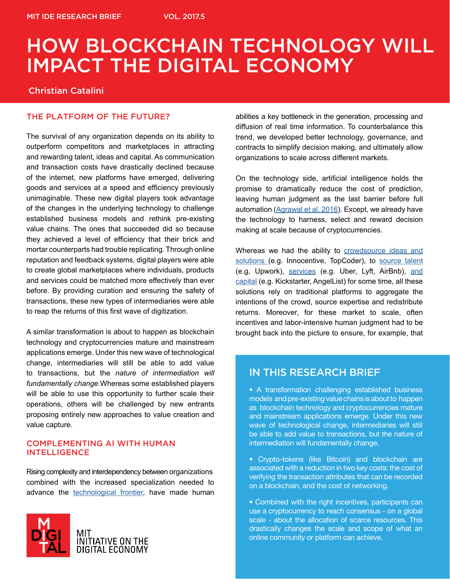# HOW BLOCKCHAIN TECHNOLOGY WILL IMPACT THE DIGITAL ECONOMY

#### Christian Catalini

#### THE PLATFORM OF THE FUTURE?

The survival of any organization depends on its ability to outperform competitors and marketplaces in attracting and rewarding talent, ideas and capital. As communication and transaction costs have drastically declined because of the internet, new platforms have emerged, delivering goods and services at a speed and efficiency previously unimaginable. These new digital players took advantage of the changes in the underlying technology to challenge established business models and rethink pre-existing value chains. The ones that succeeded did so because they achieved a level of efficiency that their brick and mortar counterparts had trouble replicating. Through online reputation and feedback systems, digital players were able to create global marketplaces where individuals, products and services could be matched more effectively than ever before. By providing curation and ensuring the safety of transactions, these new types of intermediaries were able to reap the returns of this first wave of digitization.

A similar transformation is about to happen as blockchain technology and cryptocurrencies mature and mainstream applications emerge. Under this new wave of technological change, intermediaries will still be able to add value to transactions, but the *nature of intermediation will fundamentally change*.Whereas some established players will be able to use this opportunity to further scale their operations, others will be challenged by new entrants proposing entirely new approaches to value creation and value capture.

#### COMPLEMENTING AI WITH HUMAN **INTELLIGENCE**

Rising complexity and interdependency between organizations combined with the increased specialization needed to advance the [technological frontier](http://www.kellogg.northwestern.edu/faculty/jones-ben/htm/BurdenOfKnowledge.pdf), have made human



abilities a key bottleneck in the generation, processing and diffusion of real time information. To counterbalance this trend, we developed better technology, governance, and contracts to simplify decision making, and ultimately allow organizations to scale across different markets.

On the technology side, artificial intelligence holds the promise to dramatically reduce the cost of prediction, leaving human judgment as the last barrier before full automation ([Agrawal et al, 2016\)](https://hbr.org/2016/11/the-simple-economics-of-machine-intelligence). Except, we already have the technology to harness, select and reward decision making at scale because of cryptocurrencies.

Whereas we had the ability to crowdsource ideas and [solutions](https://hbr.org/2013/04/using-the-crowd-as-an-innovation-partner) (e.g. Innocentive, TopCoder), to [source talent](http://www.nber.org/chapters/c12988)  (e.g, Upwork), [services](http://www.nber.org/papers/w22616) (e.g. Uber, Lyft, AirBnb), [and](http://static.squarespace.com/static/532383d3e4b00a718e33e1da/t/53d91d46e4b00b8c0a643b6f/1406737734913/Some+Simple+Economics+of+Crowdfunding.pdf)  [capital](http://static.squarespace.com/static/532383d3e4b00a718e33e1da/t/53d91d46e4b00b8c0a643b6f/1406737734913/Some+Simple+Economics+of+Crowdfunding.pdf) (e.g. Kickstarter, AngelList) for some time, all these solutions rely on traditional platforms to aggregate the intentions of the crowd, source expertise and redistribute returns. Moreover, for these market to scale, often incentives and labor-intensive human judgment had to be brought back into the picture to ensure, for example, that

#### IN THIS RESEARCH BRIEF

• A transformation challenging established business models and pre-existing value chains is about to happen as blockchain technology and cryptocurrencies mature and mainstream applications emerge. Under this new wave of technological change, intermediaries will still be able to add value to transactions, but the nature of intermediation will fundamentally change.

• Crypto-tokens (like Bitcoin) and blockchain are associated with a reduction in two key costs: the cost of verifying the transaction attributes that can be recorded on a blockchain, and the cost of networking.

• Combined with the right incentives, participants can use a cryptocurrency to reach consensus - on a global scale - about the allocation of scarce resources. This drastically changes the scale and scope of what an online community or platform can achieve.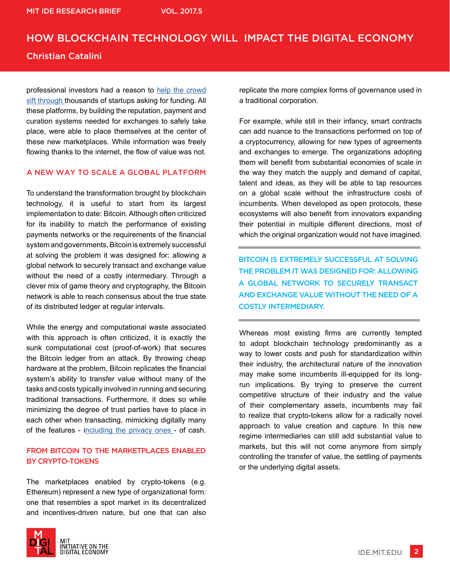## HOW BLOCKCHAIN TECHNOLOGY WILL IMPACT THE DIGITAL ECONOMY Christian Catalini

professional investors had a reason to [help the crowd](https://papers.ssrn.com/sol3/papers.cfm?abstract_id=2569988) [sift through t](https://papers.ssrn.com/sol3/papers.cfm?abstract_id=2569988)housands of startups asking for funding. All these platforms, by building the reputation, payment and curation systems needed for exchanges to safely take place, were able to place themselves at the center of these new marketplaces. While information was freely flowing thanks to the internet, the flow of value was not.

#### A NEW WAY TO SCALE A GLOBAL PLATFORM

To understand the transformation brought by blockchain technology, it is useful to start from its largest implementation to date: Bitcoin. Although often criticized for its inability to match the performance of existing payments networks or the requirements of the financial system and governments, Bitcoin is extremely successful at solving the problem it was designed for: allowing a global network to securely transact and exchange value without the need of a costly intermediary. Through a clever mix of game theory and cryptography, the Bitcoin network is able to reach consensus about the true state of its distributed ledger at regular intervals.

While the energy and computational waste associated with this approach is often criticized, it is exactly the sunk computational cost (proof-of-work) that secures the Bitcoin ledger from an attack. By throwing cheap hardware at the problem, Bitcoin replicates the financial system's ability to transfer value without many of the tasks and costs typically involved in running and securing traditional transactions. Furthermore, it does so while minimizing the degree of trust parties have to place in each other when transacting, mimicking digitally many of the features - [including the privacy ones -](http://) of cash.

#### FROM BITCOIN TO THE MARKETPLACES ENABLED BY CRYPTO-TOKENS

The marketplaces enabled by crypto-tokens (e.g. Ethereum) represent a new type of organizational form: one that resembles a spot market in its decentralized and incentives-driven nature, but one that can also



For example, while still in their infancy, smart contracts can add nuance to the transactions performed on top of a cryptocurrency, allowing for new types of agreements and exchanges to emerge. The organizations adopting them will benefit from substantial economies of scale in the way they match the supply and demand of capital, talent and ideas, as they will be able to tap resources on a global scale without the infrastructure costs of incumbents. When developed as open protocols, these ecosystems will also benefit from innovators expanding their potential in multiple different directions, most of which the original organization would not have imagined.

BITCOIN IS EXTREMELY SUCCESSFUL AT SOLVING THE PROBLEM IT WAS DESIGNED FOR: ALLOWING A GLOBAL NETWORK TO SECURELY TRANSACT AND EXCHANGE VALUE WITHOUT THE NEED OF A COSTLY INTERMEDIARY.

Whereas most existing firms are currently tempted to adopt blockchain technology predominantly as a way to lower costs and push for standardization within their industry, the architectural nature of the innovation may make some incumbents ill-equipped for its longrun implications. By trying to preserve the current competitive structure of their industry and the value of their complementary assets, incumbents may fail to realize that crypto-tokens allow for a radically novel approach to value creation and capture. In this new regime intermediaries can still add substantial value to markets, but this will not come anymore from simply controlling the transfer of value, the settling of payments or the underlying digital assets.

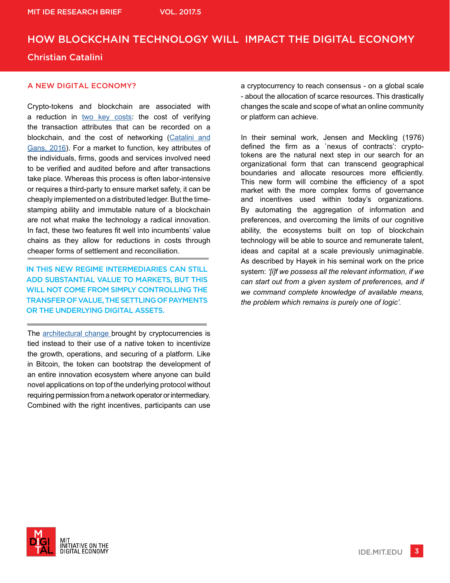# HOW BLOCKCHAIN TECHNOLOGY WILL IMPACT THE DIGITAL ECONOMY Christian Catalini

#### A NEW DIGITAL ECONOMY?

Crypto-tokens and blockchain are associated with a reduction in [two key costs](https://papers.ssrn.com/sol3/papers.cfm?abstract_id=2874598): the cost of verifying the transaction attributes that can be recorded on a blockchain, and the cost of networking ([Catalini and](https://papers.ssrn.com/sol3/papers.cfm?abstract_id=2874598) [Gans, 2016\)](https://papers.ssrn.com/sol3/papers.cfm?abstract_id=2874598). For a market to function, key attributes of the individuals, firms, goods and services involved need to be verified and audited before and after transactions take place. Whereas this process is often labor-intensive or requires a third-party to ensure market safety, it can be cheaply implemented on a distributed ledger. But the timestamping ability and immutable nature of a blockchain are not what make the technology a radical innovation. In fact, these two features fit well into incumbents' value chains as they allow for reductions in costs through cheaper forms of settlement and reconciliation.

IN THIS NEW REGIME INTERMEDIARIES CAN STILL ADD SUBSTANTIAL VALUE TO MARKETS, BUT THIS WILL NOT COME FROM SIMPLY CONTROLLING THE TRANSFER OF VALUE, THE SETTLING OF PAYMENTS OR THE UNDERLYING DIGITAL ASSETS.

The [architectural change b](http://dimetic.dime-eu.org/dimetic_files/HendersonClarkASQ1990.pdf)rought by cryptocurrencies is tied instead to their use of a native token to incentivize the growth, operations, and securing of a platform. Like in Bitcoin, the token can bootstrap the development of an entire innovation ecosystem where anyone can build novel applications on top of the underlying protocol without requiring permission from a network operator or intermediary. Combined with the right incentives, participants can use

a cryptocurrency to reach consensus - on a global scale - about the allocation of scarce resources. This drastically changes the scale and scope of what an online community or platform can achieve.

In their seminal work, Jensen and Meckling (1976) defined the firm as a `nexus of contracts': cryptotokens are the natural next step in our search for an organizational form that can transcend geographical boundaries and allocate resources more efficiently. This new form will combine the efficiency of a spot market with the more complex forms of governance and incentives used within today's organizations. By automating the aggregation of information and preferences, and overcoming the limits of our cognitive ability, the ecosystems built on top of blockchain technology will be able to source and remunerate talent, ideas and capital at a scale previously unimaginable. As described by Hayek in his seminal work on the price system: *'[i]f we possess all the relevant information, if we can start out from a given system of preferences, and if we command complete knowledge of available means, the problem which remains is purely one of logic'.*